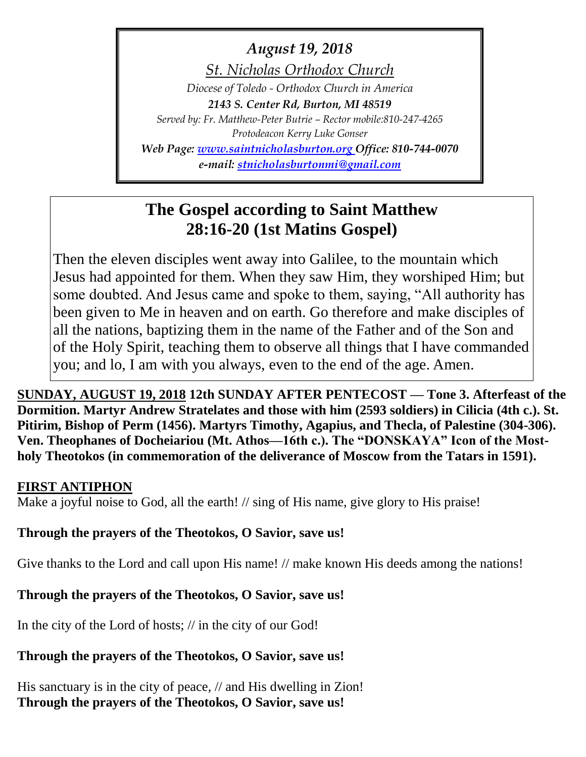# *August 19, 2018*

*St. Nicholas Orthodox Church*

*Diocese of Toledo - Orthodox Church in America 2143 S. Center Rd, Burton, MI 48519 Served by: Fr. Matthew-Peter Butrie – Rector mobile:810-247-4265 Protodeacon Kerry Luke Gonser Web Page: [www.saintnicholasburton.org](http://www.saintnicholasburton.org/) Office: 810-744-0070*

*e-mail: [stnicholasburtonmi@gmail.com](mailto:stnicholasburtonmi@gmail.com)*

# **The Gospel according to Saint Matthew 28:16-20 (1st Matins Gospel)**

Then the eleven disciples went away into Galilee, to the mountain which Jesus had appointed for them. When they saw Him, they worshiped Him; but some doubted. And Jesus came and spoke to them, saying, "All authority has been given to Me in heaven and on earth. Go therefore and make disciples of all the nations, baptizing them in the name of the Father and of the Son and of the Holy Spirit, teaching them to observe all things that I have commanded you; and lo, I am with you always, even to the end of the age. Amen.

**SUNDAY, AUGUST 19, 2018 12th SUNDAY AFTER PENTECOST — Tone 3. Afterfeast of the Dormition. Martyr Andrew Stratelates and those with him (2593 soldiers) in Cilicia (4th c.). St. Pitirim, Bishop of Perm (1456). Martyrs Timothy, Agapius, and Thecla, of Palestine (304-306). Ven. Theophanes of Docheiariou (Mt. Athos—16th c.). The "DONSKAYA" Icon of the Mostholy Theotokos (in commemoration of the deliverance of Moscow from the Tatars in 1591).** 

### **FIRST ANTIPHON**

Make a joyful noise to God, all the earth! // sing of His name, give glory to His praise!

# **Through the prayers of the Theotokos, O Savior, save us!**

Give thanks to the Lord and call upon His name! // make known His deeds among the nations!

# **Through the prayers of the Theotokos, O Savior, save us!**

In the city of the Lord of hosts; // in the city of our God!

# **Through the prayers of the Theotokos, O Savior, save us!**

His sanctuary is in the city of peace, // and His dwelling in Zion! **Through the prayers of the Theotokos, O Savior, save us!**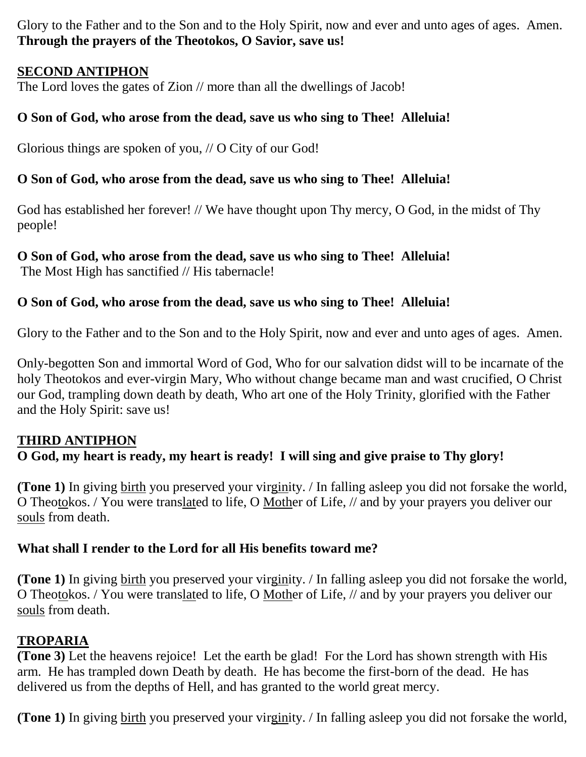Glory to the Father and to the Son and to the Holy Spirit, now and ever and unto ages of ages. Amen. **Through the prayers of the Theotokos, O Savior, save us!**

# **SECOND ANTIPHON**

The Lord loves the gates of Zion // more than all the dwellings of Jacob!

# **O Son of God, who arose from the dead, save us who sing to Thee! Alleluia!**

Glorious things are spoken of you, // O City of our God!

# **O Son of God, who arose from the dead, save us who sing to Thee! Alleluia!**

God has established her forever! // We have thought upon Thy mercy, O God, in the midst of Thy people!

# **O Son of God, who arose from the dead, save us who sing to Thee! Alleluia!**

The Most High has sanctified // His tabernacle!

# **O Son of God, who arose from the dead, save us who sing to Thee! Alleluia!**

Glory to the Father and to the Son and to the Holy Spirit, now and ever and unto ages of ages. Amen.

Only-begotten Son and immortal Word of God, Who for our salvation didst will to be incarnate of the holy Theotokos and ever-virgin Mary, Who without change became man and wast crucified, O Christ our God, trampling down death by death, Who art one of the Holy Trinity, glorified with the Father and the Holy Spirit: save us!

# **THIRD ANTIPHON**

# **O God, my heart is ready, my heart is ready! I will sing and give praise to Thy glory!**

**(Tone 1)** In giving birth you preserved your virginity. / In falling asleep you did not forsake the world, O Theotokos. / You were translated to life, O Mother of Life, // and by your prayers you deliver our souls from death.

# **What shall I render to the Lord for all His benefits toward me?**

**(Tone 1)** In giving birth you preserved your virginity. / In falling asleep you did not forsake the world, O Theotokos. / You were translated to life, O Mother of Life, // and by your prayers you deliver our souls from death.

# **TROPARIA**

**(Tone 3)** Let the heavens rejoice! Let the earth be glad! For the Lord has shown strength with His arm. He has trampled down Death by death. He has become the first-born of the dead. He has delivered us from the depths of Hell, and has granted to the world great mercy.

**(Tone 1)** In giving birth you preserved your virginity. / In falling asleep you did not forsake the world,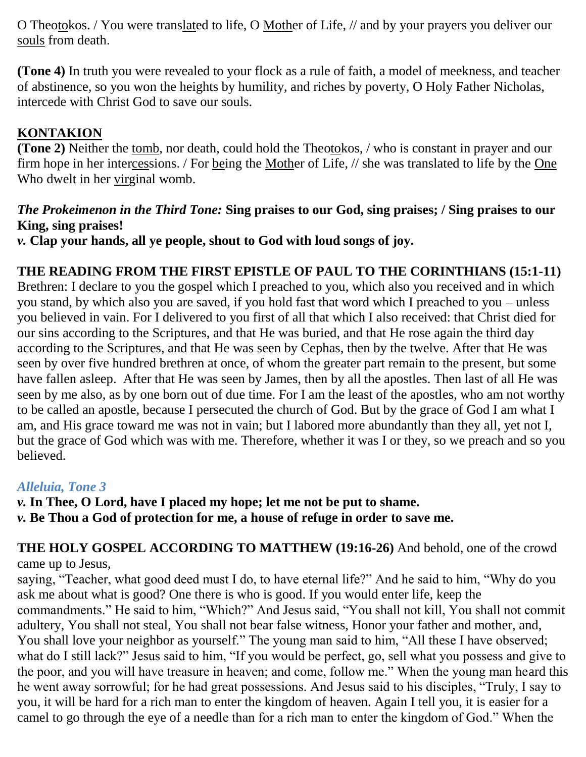O Theotokos. / You were translated to life, O Mother of Life, // and by your prayers you deliver our souls from death.

**(Tone 4)** In truth you were revealed to your flock as a rule of faith, a model of meekness, and teacher of abstinence, so you won the heights by humility, and riches by poverty, O Holy Father Nicholas, intercede with Christ God to save our souls.

# **KONTAKION**

**(Tone 2)** Neither the tomb, nor death, could hold the Theotokos, / who is constant in prayer and our firm hope in her intercessions. / For being the Mother of Life, // she was translated to life by the One Who dwelt in her virginal womb.

# *The Prokeimenon in the Third Tone:* **Sing praises to our God, sing praises; / Sing praises to our King, sing praises!**

*v.* **Clap your hands, all ye people, shout to God with loud songs of joy.**

# **THE READING FROM THE FIRST EPISTLE OF PAUL TO THE CORINTHIANS (15:1-11)**

Brethren: I declare to you the gospel which I preached to you, which also you received and in which you stand, by which also you are saved, if you hold fast that word which I preached to you – unless you believed in vain. For I delivered to you first of all that which I also received: that Christ died for our sins according to the Scriptures, and that He was buried, and that He rose again the third day according to the Scriptures, and that He was seen by Cephas, then by the twelve. After that He was seen by over five hundred brethren at once, of whom the greater part remain to the present, but some have fallen asleep. After that He was seen by James, then by all the apostles. Then last of all He was seen by me also, as by one born out of due time. For I am the least of the apostles, who am not worthy to be called an apostle, because I persecuted the church of God. But by the grace of God I am what I am, and His grace toward me was not in vain; but I labored more abundantly than they all, yet not I, but the grace of God which was with me. Therefore, whether it was I or they, so we preach and so you believed.

# *Alleluia, Tone 3*

*v.* **In Thee, O Lord, have I placed my hope; let me not be put to shame.** *v.* **Be Thou a God of protection for me, a house of refuge in order to save me.**

**THE HOLY GOSPEL ACCORDING TO MATTHEW (19:16-26)** And behold, one of the crowd came up to Jesus,

saying, "Teacher, what good deed must I do, to have eternal life?" And he said to him, "Why do you ask me about what is good? One there is who is good. If you would enter life, keep the commandments." He said to him, "Which?" And Jesus said, "You shall not kill, You shall not commit adultery, You shall not steal, You shall not bear false witness, Honor your father and mother, and, You shall love your neighbor as yourself." The young man said to him, "All these I have observed; what do I still lack?" Jesus said to him, "If you would be perfect, go, sell what you possess and give to the poor, and you will have treasure in heaven; and come, follow me." When the young man heard this he went away sorrowful; for he had great possessions. And Jesus said to his disciples, "Truly, I say to you, it will be hard for a rich man to enter the kingdom of heaven. Again I tell you, it is easier for a camel to go through the eye of a needle than for a rich man to enter the kingdom of God." When the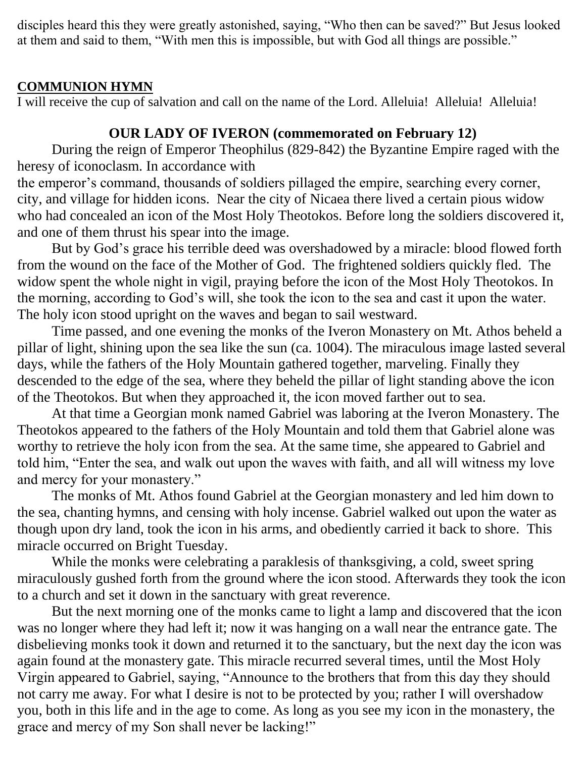disciples heard this they were greatly astonished, saying, "Who then can be saved?" But Jesus looked at them and said to them, "With men this is impossible, but with God all things are possible."

### **COMMUNION HYMN**

I will receive the cup of salvation and call on the name of the Lord. Alleluia! Alleluia! Alleluia!

# **OUR LADY OF IVERON (commemorated on February 12)**

During the reign of Emperor Theophilus (829-842) the Byzantine Empire raged with the heresy of iconoclasm. In accordance with

the emperor's command, thousands of soldiers pillaged the empire, searching every corner, city, and village for hidden icons. Near the city of Nicaea there lived a certain pious widow who had concealed an icon of the Most Holy Theotokos. Before long the soldiers discovered it, and one of them thrust his spear into the image.

But by God's grace his terrible deed was overshadowed by a miracle: blood flowed forth from the wound on the face of the Mother of God. The frightened soldiers quickly fled. The widow spent the whole night in vigil, praying before the icon of the Most Holy Theotokos. In the morning, according to God's will, she took the icon to the sea and cast it upon the water. The holy icon stood upright on the waves and began to sail westward.

Time passed, and one evening the monks of the Iveron Monastery on Mt. Athos beheld a pillar of light, shining upon the sea like the sun (ca. 1004). The miraculous image lasted several days, while the fathers of the Holy Mountain gathered together, marveling. Finally they descended to the edge of the sea, where they beheld the pillar of light standing above the icon of the Theotokos. But when they approached it, the icon moved farther out to sea.

At that time a Georgian monk named Gabriel was laboring at the Iveron Monastery. The Theotokos appeared to the fathers of the Holy Mountain and told them that Gabriel alone was worthy to retrieve the holy icon from the sea. At the same time, she appeared to Gabriel and told him, "Enter the sea, and walk out upon the waves with faith, and all will witness my love and mercy for your monastery."

The monks of Mt. Athos found Gabriel at the Georgian monastery and led him down to the sea, chanting hymns, and censing with holy incense. Gabriel walked out upon the water as though upon dry land, took the icon in his arms, and obediently carried it back to shore. This miracle occurred on Bright Tuesday.

While the monks were celebrating a paraklesis of thanksgiving, a cold, sweet spring miraculously gushed forth from the ground where the icon stood. Afterwards they took the icon to a church and set it down in the sanctuary with great reverence.

But the next morning one of the monks came to light a lamp and discovered that the icon was no longer where they had left it; now it was hanging on a wall near the entrance gate. The disbelieving monks took it down and returned it to the sanctuary, but the next day the icon was again found at the monastery gate. This miracle recurred several times, until the Most Holy Virgin appeared to Gabriel, saying, "Announce to the brothers that from this day they should not carry me away. For what I desire is not to be protected by you; rather I will overshadow you, both in this life and in the age to come. As long as you see my icon in the monastery, the grace and mercy of my Son shall never be lacking!"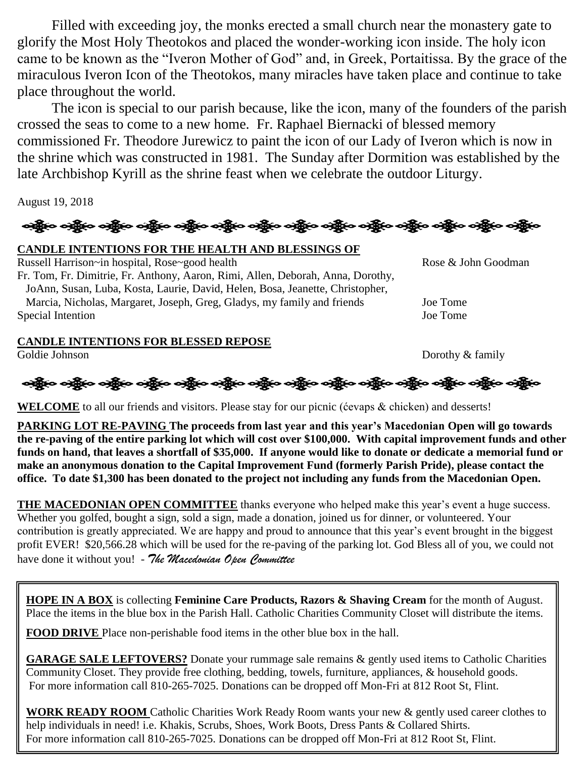Filled with exceeding joy, the monks erected a small church near the monastery gate to glorify the Most Holy Theotokos and placed the wonder-working icon inside. The holy icon came to be known as the "Iveron Mother of God" and, in Greek, Portaitissa. By the grace of the miraculous Iveron Icon of the Theotokos, many miracles have taken place and continue to take place throughout the world.

The icon is special to our parish because, like the icon, many of the founders of the parish crossed the seas to come to a new home. Fr. Raphael Biernacki of blessed memory commissioned Fr. Theodore Jurewicz to paint the icon of our Lady of Iveron which is now in the shrine which was constructed in 1981. The Sunday after Dormition was established by the late Archbishop Kyrill as the shrine feast when we celebrate the outdoor Liturgy.

August 19, 2018

# ઓફ્રેન ઓફ્રેન ઓફ્રેન ઓફ્રેન ઓફ્રેન ઓફ્રેન ઓફ્રેન ઓફ્રેન ઓફ્રેન ઓફ્રેન ઓફ્રેન ઓફ્રેન ઓફ્રેન

### **CANDLE INTENTIONS FOR THE HEALTH AND BLESSINGS OF**

Russell Harrison~in hospital, Rose~good health Rose & John Goodman Fr. Tom, Fr. Dimitrie, Fr. Anthony, Aaron, Rimi, Allen, Deborah, Anna, Dorothy, JoAnn, Susan, Luba, Kosta, Laurie, David, Helen, Bosa, Jeanette, Christopher, Marcia, Nicholas, Margaret, Joseph, Greg, Gladys, my family and friends Joe Tome Special Intention Joe Tome

### **CANDLE INTENTIONS FOR BLESSED REPOSE**

Goldie Johnson Dorothy & family

ઓફ્રેન્ડ ઓફ્રેન્ડ ઓફ્રેન્ડ ઓફ્રેન્ડ ઓફ્રેન્ડ ઓફ્રેન્ડ ઓફ્રેન્ડ ઓફ્રેન્ડ ઓફ્રિન્ડ ઓફ્રેન્ડ ઓફ્રેન્ડ ઓફ્રેન્ડ ઓફ

**WELCOME** to all our friends and visitors. Please stay for our picnic (ćevaps & chicken) and desserts!

**PARKING LOT RE-PAVING The proceeds from last year and this year's Macedonian Open will go towards the re-paving of the entire parking lot which will cost over \$100,000. With capital improvement funds and other funds on hand, that leaves a shortfall of \$35,000. If anyone would like to donate or dedicate a memorial fund or make an anonymous donation to the Capital Improvement Fund (formerly Parish Pride), please contact the office. To date \$1,300 has been donated to the project not including any funds from the Macedonian Open.**

**THE MACEDONIAN OPEN COMMITTEE** thanks everyone who helped make this year's event a huge success. Whether you golfed, bought a sign, sold a sign, made a donation, joined us for dinner, or volunteered. Your contribution is greatly appreciated. We are happy and proud to announce that this year's event brought in the biggest profit EVER! \$20,566.28 which will be used for the re-paving of the parking lot. God Bless all of you, we could not have done it without you! - *The Macedonian Open Committee*

**HOPE IN A BOX** is collecting **Feminine Care Products, Razors & Shaving Cream** for the month of August. Place the items in the blue box in the Parish Hall. Catholic Charities Community Closet will distribute the items.

**FOOD DRIVE** Place non-perishable food items in the other blue box in the hall.

**GARAGE SALE LEFTOVERS?** Donate your rummage sale remains & gently used items to Catholic Charities Community Closet. They provide free clothing, bedding, towels, furniture, appliances, & household goods. For more information call 810-265-7025. Donations can be dropped off Mon-Fri at 812 Root St, Flint.

**WORK READY ROOM** Catholic Charities Work Ready Room wants your new & gently used career clothes to help individuals in need! i.e. Khakis, Scrubs, Shoes, Work Boots, Dress Pants & Collared Shirts. For more information call 810-265-7025. Donations can be dropped off Mon-Fri at 812 Root St, Flint.